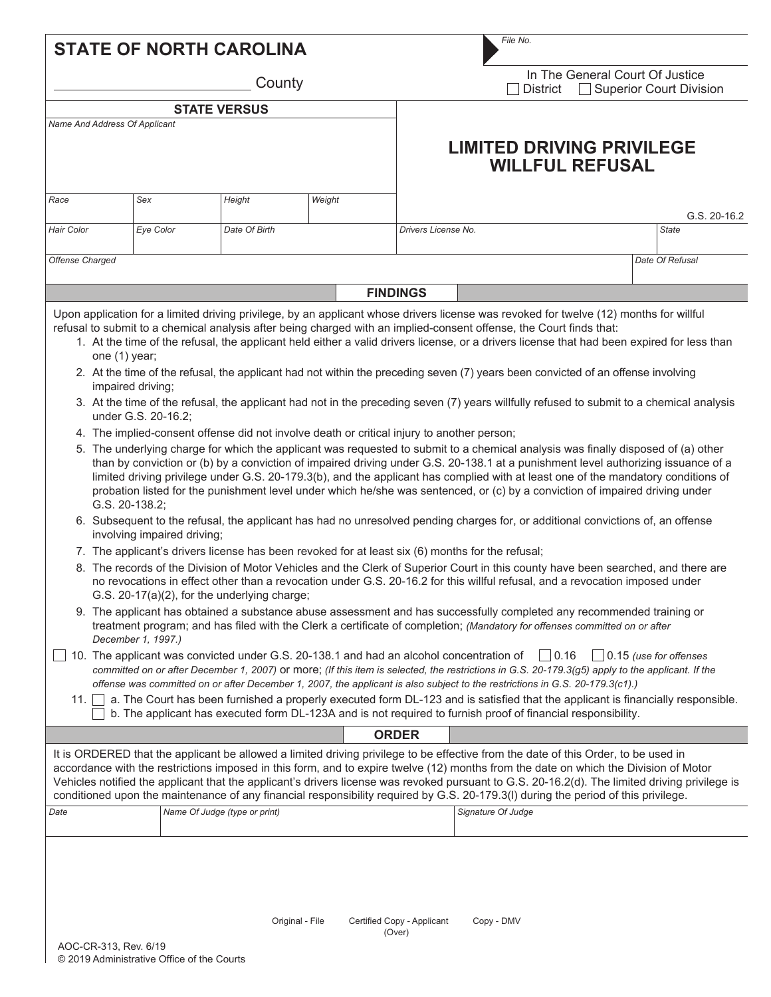| <b>STATE OF NORTH CAROLINA</b>                                                                                                                                                                                                                                                                                                                                                                                                                                                                                                                                                                                                                                                                                                                                                                                                                                                                                                                                                                                                                                                                                                                                                                                                                                                                                                                                                                                                                                                                                                                                                                                                                                                                                                                                                                                                                                                                                                                                                                                                                                                                                                                                                                                                                                                                                                                                                                                                                                                                                                                                                                                                                                                                                               |           |  |                               |        |  | File No.            |                                                                                                                                                                                                                                                                                                                                                                                                                                                                                                                                                                                          |  |                 |  |  |
|------------------------------------------------------------------------------------------------------------------------------------------------------------------------------------------------------------------------------------------------------------------------------------------------------------------------------------------------------------------------------------------------------------------------------------------------------------------------------------------------------------------------------------------------------------------------------------------------------------------------------------------------------------------------------------------------------------------------------------------------------------------------------------------------------------------------------------------------------------------------------------------------------------------------------------------------------------------------------------------------------------------------------------------------------------------------------------------------------------------------------------------------------------------------------------------------------------------------------------------------------------------------------------------------------------------------------------------------------------------------------------------------------------------------------------------------------------------------------------------------------------------------------------------------------------------------------------------------------------------------------------------------------------------------------------------------------------------------------------------------------------------------------------------------------------------------------------------------------------------------------------------------------------------------------------------------------------------------------------------------------------------------------------------------------------------------------------------------------------------------------------------------------------------------------------------------------------------------------------------------------------------------------------------------------------------------------------------------------------------------------------------------------------------------------------------------------------------------------------------------------------------------------------------------------------------------------------------------------------------------------------------------------------------------------------------------------------------------------|-----------|--|-------------------------------|--------|--|---------------------|------------------------------------------------------------------------------------------------------------------------------------------------------------------------------------------------------------------------------------------------------------------------------------------------------------------------------------------------------------------------------------------------------------------------------------------------------------------------------------------------------------------------------------------------------------------------------------------|--|-----------------|--|--|
| County                                                                                                                                                                                                                                                                                                                                                                                                                                                                                                                                                                                                                                                                                                                                                                                                                                                                                                                                                                                                                                                                                                                                                                                                                                                                                                                                                                                                                                                                                                                                                                                                                                                                                                                                                                                                                                                                                                                                                                                                                                                                                                                                                                                                                                                                                                                                                                                                                                                                                                                                                                                                                                                                                                                       |           |  |                               |        |  |                     | In The General Court Of Justice<br><b>Superior Court Division</b><br>District                                                                                                                                                                                                                                                                                                                                                                                                                                                                                                            |  |                 |  |  |
|                                                                                                                                                                                                                                                                                                                                                                                                                                                                                                                                                                                                                                                                                                                                                                                                                                                                                                                                                                                                                                                                                                                                                                                                                                                                                                                                                                                                                                                                                                                                                                                                                                                                                                                                                                                                                                                                                                                                                                                                                                                                                                                                                                                                                                                                                                                                                                                                                                                                                                                                                                                                                                                                                                                              |           |  | <b>STATE VERSUS</b>           |        |  |                     |                                                                                                                                                                                                                                                                                                                                                                                                                                                                                                                                                                                          |  |                 |  |  |
| Name And Address Of Applicant                                                                                                                                                                                                                                                                                                                                                                                                                                                                                                                                                                                                                                                                                                                                                                                                                                                                                                                                                                                                                                                                                                                                                                                                                                                                                                                                                                                                                                                                                                                                                                                                                                                                                                                                                                                                                                                                                                                                                                                                                                                                                                                                                                                                                                                                                                                                                                                                                                                                                                                                                                                                                                                                                                |           |  |                               |        |  |                     | <b>LIMITED DRIVING PRIVILEGE</b><br><b>WILLFUL REFUSAL</b>                                                                                                                                                                                                                                                                                                                                                                                                                                                                                                                               |  |                 |  |  |
| Race                                                                                                                                                                                                                                                                                                                                                                                                                                                                                                                                                                                                                                                                                                                                                                                                                                                                                                                                                                                                                                                                                                                                                                                                                                                                                                                                                                                                                                                                                                                                                                                                                                                                                                                                                                                                                                                                                                                                                                                                                                                                                                                                                                                                                                                                                                                                                                                                                                                                                                                                                                                                                                                                                                                         | Sex       |  | Height                        | Weight |  |                     |                                                                                                                                                                                                                                                                                                                                                                                                                                                                                                                                                                                          |  | G.S. 20-16.2    |  |  |
| <b>Hair Color</b>                                                                                                                                                                                                                                                                                                                                                                                                                                                                                                                                                                                                                                                                                                                                                                                                                                                                                                                                                                                                                                                                                                                                                                                                                                                                                                                                                                                                                                                                                                                                                                                                                                                                                                                                                                                                                                                                                                                                                                                                                                                                                                                                                                                                                                                                                                                                                                                                                                                                                                                                                                                                                                                                                                            | Eye Color |  | Date Of Birth                 |        |  | Drivers License No. |                                                                                                                                                                                                                                                                                                                                                                                                                                                                                                                                                                                          |  | <b>State</b>    |  |  |
| Offense Charged                                                                                                                                                                                                                                                                                                                                                                                                                                                                                                                                                                                                                                                                                                                                                                                                                                                                                                                                                                                                                                                                                                                                                                                                                                                                                                                                                                                                                                                                                                                                                                                                                                                                                                                                                                                                                                                                                                                                                                                                                                                                                                                                                                                                                                                                                                                                                                                                                                                                                                                                                                                                                                                                                                              |           |  |                               |        |  |                     |                                                                                                                                                                                                                                                                                                                                                                                                                                                                                                                                                                                          |  | Date Of Refusal |  |  |
|                                                                                                                                                                                                                                                                                                                                                                                                                                                                                                                                                                                                                                                                                                                                                                                                                                                                                                                                                                                                                                                                                                                                                                                                                                                                                                                                                                                                                                                                                                                                                                                                                                                                                                                                                                                                                                                                                                                                                                                                                                                                                                                                                                                                                                                                                                                                                                                                                                                                                                                                                                                                                                                                                                                              |           |  |                               |        |  | <b>FINDINGS</b>     |                                                                                                                                                                                                                                                                                                                                                                                                                                                                                                                                                                                          |  |                 |  |  |
|                                                                                                                                                                                                                                                                                                                                                                                                                                                                                                                                                                                                                                                                                                                                                                                                                                                                                                                                                                                                                                                                                                                                                                                                                                                                                                                                                                                                                                                                                                                                                                                                                                                                                                                                                                                                                                                                                                                                                                                                                                                                                                                                                                                                                                                                                                                                                                                                                                                                                                                                                                                                                                                                                                                              |           |  |                               |        |  |                     |                                                                                                                                                                                                                                                                                                                                                                                                                                                                                                                                                                                          |  |                 |  |  |
| Upon application for a limited driving privilege, by an applicant whose drivers license was revoked for twelve (12) months for willful<br>refusal to submit to a chemical analysis after being charged with an implied-consent offense, the Court finds that:<br>1. At the time of the refusal, the applicant held either a valid drivers license, or a drivers license that had been expired for less than<br>one (1) year;<br>2. At the time of the refusal, the applicant had not within the preceding seven (7) years been convicted of an offense involving<br>impaired driving;<br>3. At the time of the refusal, the applicant had not in the preceding seven (7) years willfully refused to submit to a chemical analysis<br>under G.S. 20-16.2;<br>4. The implied-consent offense did not involve death or critical injury to another person;<br>5. The underlying charge for which the applicant was requested to submit to a chemical analysis was finally disposed of (a) other<br>than by conviction or (b) by a conviction of impaired driving under G.S. 20-138.1 at a punishment level authorizing issuance of a<br>limited driving privilege under G.S. 20-179.3(b), and the applicant has complied with at least one of the mandatory conditions of<br>probation listed for the punishment level under which he/she was sentenced, or (c) by a conviction of impaired driving under<br>G.S. 20-138.2;<br>6. Subsequent to the refusal, the applicant has had no unresolved pending charges for, or additional convictions of, an offense<br>involving impaired driving;<br>7. The applicant's drivers license has been revoked for at least six (6) months for the refusal;<br>8. The records of the Division of Motor Vehicles and the Clerk of Superior Court in this county have been searched, and there are<br>no revocations in effect other than a revocation under G.S. 20-16.2 for this willful refusal, and a revocation imposed under<br>G.S. 20-17(a)(2), for the underlying charge;<br>9. The applicant has obtained a substance abuse assessment and has successfully completed any recommended training or<br>treatment program; and has filed with the Clerk a certificate of completion; (Mandatory for offenses committed on or after<br>December 1, 1997.)<br>10. The applicant was convicted under G.S. 20-138.1 and had an alcohol concentration of $\Box$ 0.16<br>$\vert$ 0.15 (use for offenses<br>committed on or after December 1, 2007) or more; (If this item is selected, the restrictions in G.S. 20-179.3(g5) apply to the applicant. If the<br>offense was committed on or after December 1, 2007, the applicant is also subject to the restrictions in G.S. 20-179.3(c1).) |           |  |                               |        |  |                     |                                                                                                                                                                                                                                                                                                                                                                                                                                                                                                                                                                                          |  |                 |  |  |
| 11.1                                                                                                                                                                                                                                                                                                                                                                                                                                                                                                                                                                                                                                                                                                                                                                                                                                                                                                                                                                                                                                                                                                                                                                                                                                                                                                                                                                                                                                                                                                                                                                                                                                                                                                                                                                                                                                                                                                                                                                                                                                                                                                                                                                                                                                                                                                                                                                                                                                                                                                                                                                                                                                                                                                                         |           |  |                               |        |  |                     | a. The Court has been furnished a properly executed form DL-123 and is satisfied that the applicant is financially responsible.<br>b. The applicant has executed form DL-123A and is not required to furnish proof of financial responsibility.                                                                                                                                                                                                                                                                                                                                          |  |                 |  |  |
|                                                                                                                                                                                                                                                                                                                                                                                                                                                                                                                                                                                                                                                                                                                                                                                                                                                                                                                                                                                                                                                                                                                                                                                                                                                                                                                                                                                                                                                                                                                                                                                                                                                                                                                                                                                                                                                                                                                                                                                                                                                                                                                                                                                                                                                                                                                                                                                                                                                                                                                                                                                                                                                                                                                              |           |  |                               |        |  | <b>ORDER</b>        |                                                                                                                                                                                                                                                                                                                                                                                                                                                                                                                                                                                          |  |                 |  |  |
| Date                                                                                                                                                                                                                                                                                                                                                                                                                                                                                                                                                                                                                                                                                                                                                                                                                                                                                                                                                                                                                                                                                                                                                                                                                                                                                                                                                                                                                                                                                                                                                                                                                                                                                                                                                                                                                                                                                                                                                                                                                                                                                                                                                                                                                                                                                                                                                                                                                                                                                                                                                                                                                                                                                                                         |           |  | Name Of Judge (type or print) |        |  |                     | It is ORDERED that the applicant be allowed a limited driving privilege to be effective from the date of this Order, to be used in<br>accordance with the restrictions imposed in this form, and to expire twelve (12) months from the date on which the Division of Motor<br>Vehicles notified the applicant that the applicant's drivers license was revoked pursuant to G.S. 20-16.2(d). The limited driving privilege is<br>conditioned upon the maintenance of any financial responsibility required by G.S. 20-179.3(I) during the period of this privilege.<br>Signature Of Judge |  |                 |  |  |
|                                                                                                                                                                                                                                                                                                                                                                                                                                                                                                                                                                                                                                                                                                                                                                                                                                                                                                                                                                                                                                                                                                                                                                                                                                                                                                                                                                                                                                                                                                                                                                                                                                                                                                                                                                                                                                                                                                                                                                                                                                                                                                                                                                                                                                                                                                                                                                                                                                                                                                                                                                                                                                                                                                                              |           |  |                               |        |  |                     |                                                                                                                                                                                                                                                                                                                                                                                                                                                                                                                                                                                          |  |                 |  |  |
|                                                                                                                                                                                                                                                                                                                                                                                                                                                                                                                                                                                                                                                                                                                                                                                                                                                                                                                                                                                                                                                                                                                                                                                                                                                                                                                                                                                                                                                                                                                                                                                                                                                                                                                                                                                                                                                                                                                                                                                                                                                                                                                                                                                                                                                                                                                                                                                                                                                                                                                                                                                                                                                                                                                              |           |  |                               |        |  |                     |                                                                                                                                                                                                                                                                                                                                                                                                                                                                                                                                                                                          |  |                 |  |  |

Original - File Certified Copy - Applicant Copy - DMV (Over)